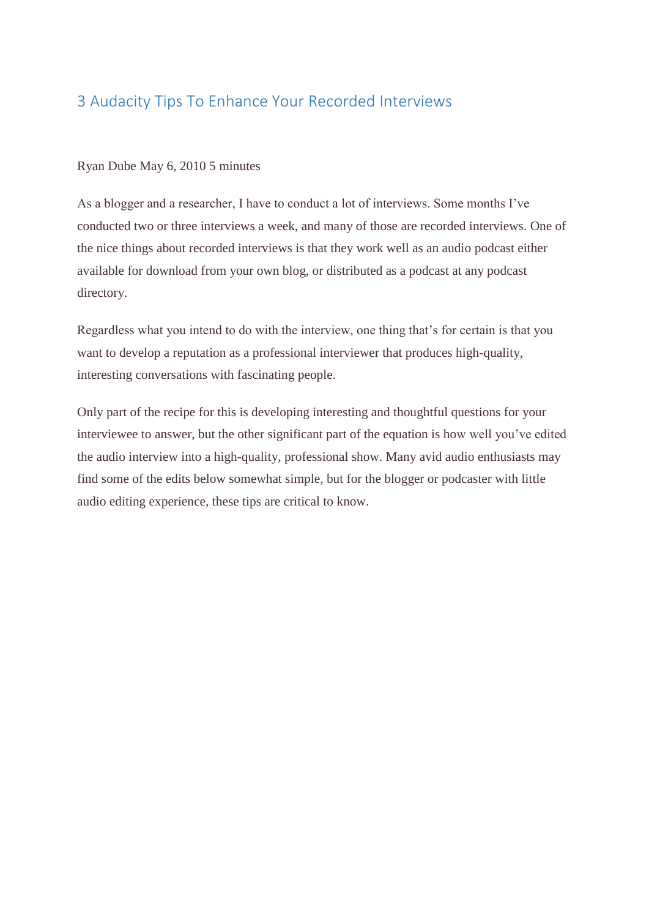#### 3 Audacity Tips To Enhance Your Recorded Interviews

#### Ryan Dube May 6, 2010 5 minutes

As a blogger and a researcher, I have to conduct a lot of interviews. Some months I've conducted two or three interviews a week, and many of those are recorded interviews. One of the nice things about recorded interviews is that they work well as an audio podcast either available for download from your own blog, or distributed as a podcast at any podcast directory.

Regardless what you intend to do with the interview, one thing that's for certain is that you want to develop a reputation as a professional interviewer that produces high-quality, interesting conversations with fascinating people.

Only part of the recipe for this is developing interesting and thoughtful questions for your interviewee to answer, but the other significant part of the equation is how well you've edited the audio interview into a high-quality, professional show. Many avid audio enthusiasts may find some of the edits below somewhat simple, but for the blogger or podcaster with little audio editing experience, these tips are critical to know.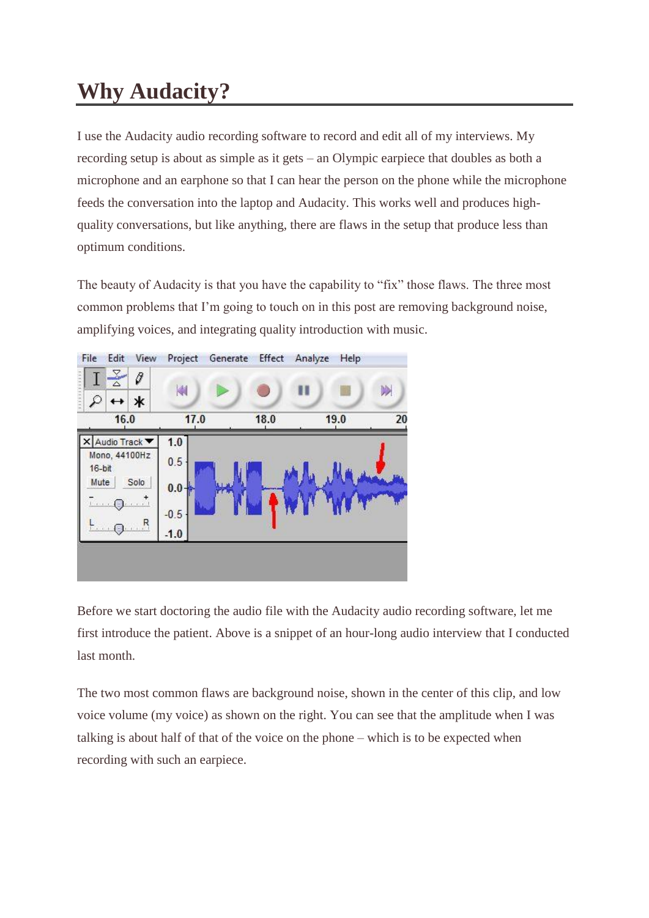## **Why Audacity?**

I use the Audacity audio recording software to record and edit all of my interviews. My recording setup is about as simple as it gets – an Olympic earpiece that doubles as both a microphone and an earphone so that I can hear the person on the phone while the microphone feeds the conversation into the laptop and Audacity. This works well and produces highquality conversations, but like anything, there are flaws in the setup that produce less than optimum conditions.

The beauty of Audacity is that you have the capability to "fix" those flaws. The three most common problems that I'm going to touch on in this post are removing background noise, amplifying voices, and integrating quality introduction with music.



Before we start doctoring the audio file with the Audacity audio recording software, let me first introduce the patient. Above is a snippet of an hour-long audio interview that I conducted last month.

The two most common flaws are background noise, shown in the center of this clip, and low voice volume (my voice) as shown on the right. You can see that the amplitude when I was talking is about half of that of the voice on the phone – which is to be expected when recording with such an earpiece.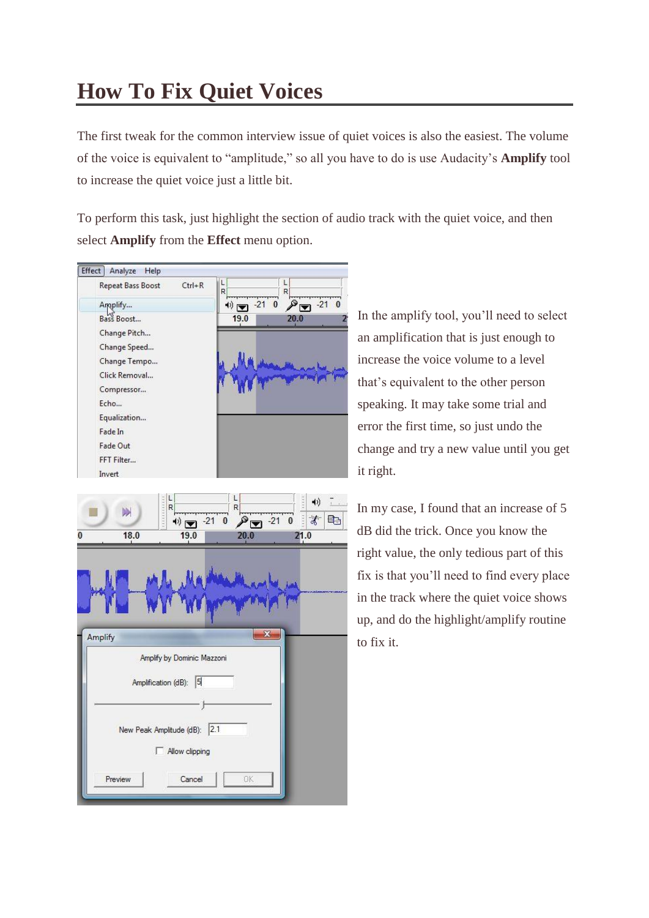# **How To Fix Quiet Voices**

The first tweak for the common interview issue of quiet voices is also the easiest. The volume of the voice is equivalent to "amplitude," so all you have to do is use Audacity's **Amplify** tool to increase the quiet voice just a little bit.

To perform this task, just highlight the section of audio track with the quiet voice, and then select **Amplify** from the **Effect** menu option.



|         | 18.0    | 19.0                                                     | 20.0 | 21.0        |
|---------|---------|----------------------------------------------------------|------|-------------|
| Amplify |         |                                                          |      | $\mathbf x$ |
|         |         | Amplify by Dominic Mazzoni<br> 5 <br>Amplification (dB): |      |             |
|         |         |                                                          |      |             |
|         |         | New Peak Amplitude (dB): 2.1<br>Allow clipping           |      |             |
|         | Preview | Cancel                                                   | 0K   |             |

In the amplify tool, you'll need to select an amplification that is just enough to increase the voice volume to a level that's equivalent to the other person speaking. It may take some trial and error the first time, so just undo the change and try a new value until you get it right.

In my case, I found that an increase of 5 dB did the trick. Once you know the right value, the only tedious part of this fix is that you'll need to find every place in the track where the quiet voice shows up, and do the highlight/amplify routine to fix it.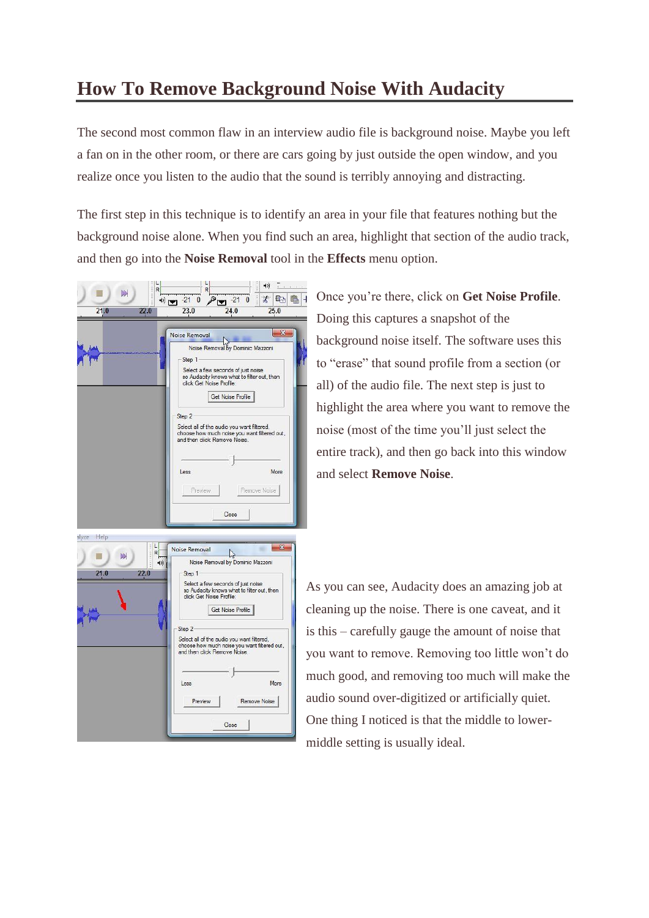#### **How To Remove Background Noise With Audacity**

The second most common flaw in an interview audio file is background noise. Maybe you left a fan on in the other room, or there are cars going by just outside the open window, and you realize once you listen to the audio that the sound is terribly annoying and distracting.

The first step in this technique is to identify an area in your file that features nothing but the background noise alone. When you find such an area, highlight that section of the audio track, and then go into the **Noise Removal** tool in the **Effects** menu option.

| 21.0<br>22.0  | $P = 210$<br>$\bigcirc$<br>24.0<br>23.0<br>25.0                                                              |
|---------------|--------------------------------------------------------------------------------------------------------------|
|               | X<br>Noise Removal                                                                                           |
|               | Noise Removal by Dominic Mazzoni                                                                             |
|               | Step 1                                                                                                       |
|               | Select a few seconds of just noise<br>so Audacity knows what to filter out, then<br>click Get Noise Profile: |
|               | <b>Get Noise Profile</b>                                                                                     |
|               | Step 2                                                                                                       |
|               | Select all of the audio you want filtered,<br>choose how much noise you want filtered out,                   |
|               | and then click Remove Noise.                                                                                 |
|               |                                                                                                              |
|               | More<br>Less                                                                                                 |
|               |                                                                                                              |
|               | Preview<br>Remove Noise                                                                                      |
|               | Close                                                                                                        |
|               |                                                                                                              |
| alyze<br>Help | $\overline{\mathbf{x}}$                                                                                      |
| <b>M</b>      | Noise Removal<br>R                                                                                           |
|               | Noise Removal by Dominic Mazzoni<br>41)                                                                      |
| 22.0<br>21.0  | Step 1                                                                                                       |
|               | Select a few seconds of just noise<br>so Audacity knows what to filter out, then<br>click Get Noise Profile: |

Once you're there, click on **Get Noise Profile**. Doing this captures a snapshot of the background noise itself. The software uses this to "erase" that sound profile from a section (or all) of the audio file. The next step is just to highlight the area where you want to remove the noise (most of the time you'll just select the entire track), and then go back into this window and select **Remove Noise**.

| Help                                                          |                                                                                                                                                                                                                 |
|---------------------------------------------------------------|-----------------------------------------------------------------------------------------------------------------------------------------------------------------------------------------------------------------|
| alyze<br>L<br><b>TOTO OF</b><br>R<br><b>M</b><br>21.0<br>22.0 | Ж<br>Noise Removal<br>Noise Removal by Dominic Mazzoni<br>Step 1<br>Select a few seconds of just noise<br>so Audacity knows what to filter out, then<br>click Get Noise Profile:<br>Get Noise Profile<br>Step 2 |
|                                                               | Select all of the audio you want filtered,<br>choose how much noise you want filtered out,<br>and then click Remove Noise.<br>More<br>Less<br>Preview<br>Remove Noise<br>Close                                  |

As you can see, Audacity does an amazing job at cleaning up the noise. There is one caveat, and it is this – carefully gauge the amount of noise that you want to remove. Removing too little won't do much good, and removing too much will make the audio sound over-digitized or artificially quiet. One thing I noticed is that the middle to lowermiddle setting is usually ideal.